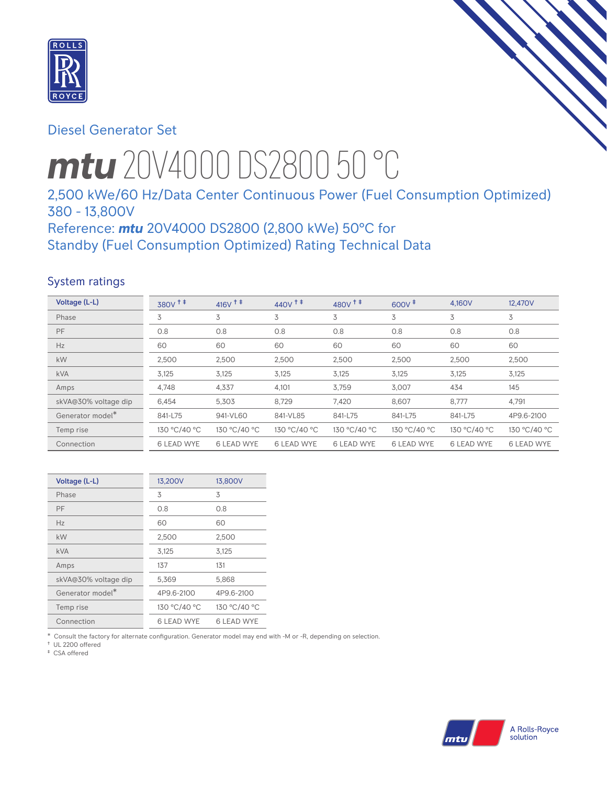

# Diesel Generator Set

# *mtu* 20V4000 DS2800 50 °C

# 2,500 kWe/60 Hz/Data Center Continuous Power (Fuel Consumption Optimized) 380 - 13,800V

# Reference: *mtu* 20V4000 DS2800 (2,800 kWe) 50°C for Standby (Fuel Consumption Optimized) Rating Technical Data

# System ratings

| Voltage (L-L)        | $380V$ <sup>++</sup> | 416 $V$ <sup>+ +</sup> | $440V$ <sup>++</sup> | $480V^{\text{+}}$ | $600V^+$          | 4,160V            | 12,470V           |
|----------------------|----------------------|------------------------|----------------------|-------------------|-------------------|-------------------|-------------------|
| Phase                | 3                    | 3                      | 3                    | 3                 | 3                 | 3                 | 3                 |
| PF                   | 0.8                  | 0.8                    | 0.8                  | 0.8               | 0.8               | 0.8               | 0.8               |
| Hz                   | 60                   | 60                     | 60                   | 60                | 60                | 60                | 60                |
| <b>kW</b>            | 2,500                | 2,500                  | 2,500                | 2,500             | 2,500             | 2,500             | 2,500             |
| <b>kVA</b>           | 3,125                | 3,125                  | 3,125                | 3,125             | 3,125             | 3,125             | 3,125             |
| Amps                 | 4,748                | 4,337                  | 4,101                | 3,759             | 3,007             | 434               | 145               |
| skVA@30% voltage dip | 6,454                | 5,303                  | 8,729                | 7,420             | 8,607             | 8,777             | 4,791             |
| Generator model*     | 841-L75              | 941-VL60               | 841-VL85             | 841-L75           | 841-L75           | 841-L75           | 4P9.6-2100        |
| Temp rise            | 130 °C/40 °C         | 130 °C/40 °C           | 130 °C/40 °C         | 130 °C/40 °C      | 130 °C/40 °C      | 130 °C/40 °C      | 130 °C/40 °C      |
| Connection           | <b>6 LEAD WYE</b>    | <b>6 LEAD WYE</b>      | <b>6 LEAD WYE</b>    | <b>6 LEAD WYE</b> | <b>6 LEAD WYE</b> | <b>6 LEAD WYE</b> | <b>6 LEAD WYE</b> |

| Voltage (L-L)                | 13,200V      | 13,800V      |
|------------------------------|--------------|--------------|
| Phase                        | 3            | 3            |
| PF                           | 0.8          | 0.8          |
| Hz                           | 60           | 60           |
| kW                           | 2,500        | 2,500        |
| <b>kVA</b>                   | 3,125        | 3,125        |
| Amps                         | 137          | 131          |
| skVA@30% voltage dip         | 5,369        | 5,868        |
| Generator model <sup>*</sup> | 4P9.6-2100   | 4P9.6-2100   |
| Temp rise                    | 130 °C/40 °C | 130 °C/40 °C |
| Connection                   | 6 LEAD WYE   | 6 LEAD WYE   |

\* Consult the factory for alternate configuration. Generator model may end with -M or -R, depending on selection.

† UL 2200 offered

‡ CSA offered

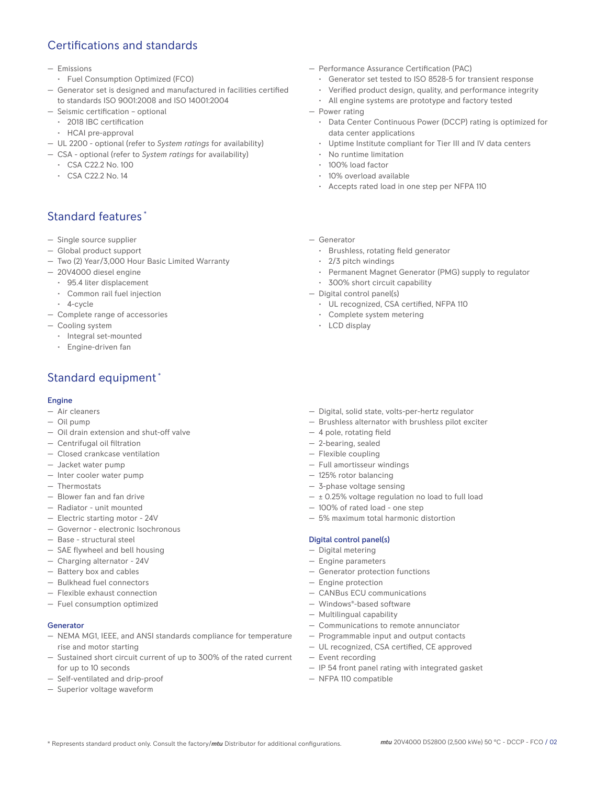# Certifications and standards

- Emissions
- Fuel Consumption Optimized (FCO)
- Generator set is designed and manufactured in facilities certified to standards ISO 9001:2008 and ISO 14001:2004
- Seismic certification optional
- 2018 IBC certification
- HCAI pre-approval
- UL 2200 optional (refer to *System ratings* for availability)
- CSA optional (refer to *System ratings* for availability)
	- CSA C22.2 No. 100
	- CSA C22.2 No. 14

# Standard features \*

- Single source supplier
- Global product support
- Two (2) Year/3,000 Hour Basic Limited Warranty
- 20V4000 diesel engine
	- 95.4 liter displacement
	- Common rail fuel injection
	- 4-cycle
- Complete range of accessories
- Cooling system
	- Integral set-mounted
	- Engine-driven fan

# Standard equipment \*

#### Engine

- Air cleaners
- Oil pump
- Oil drain extension and shut-off valve
- Centrifugal oil filtration
- Closed crankcase ventilation
- Jacket water pump
- Inter cooler water pump
- Thermostats
- Blower fan and fan drive
- Radiator unit mounted
- Electric starting motor 24V
- Governor electronic Isochronous
- Base structural steel
- SAE flywheel and bell housing
- Charging alternator 24V
- Battery box and cables
- Bulkhead fuel connectors
- Flexible exhaust connection
- Fuel consumption optimized

#### Generator

- NEMA MG1, IEEE, and ANSI standards compliance for temperature rise and motor starting
- Sustained short circuit current of up to 300% of the rated current for up to 10 seconds
- Self-ventilated and drip-proof
- Superior voltage waveform
- Performance Assurance Certification (PAC)
	- Generator set tested to ISO 8528-5 for transient response
	- Verified product design, quality, and performance integrity
	- All engine systems are prototype and factory tested
- Power rating
	- Data Center Continuous Power (DCCP) rating is optimized for data center applications
	- Uptime Institute compliant for Tier III and IV data centers
	- No runtime limitation
	- 100% load factor
	- 10% overload available
	- Accepts rated load in one step per NFPA 110
- Generator
	- Brushless, rotating field generator
	- 2/3 pitch windings
	- Permanent Magnet Generator (PMG) supply to regulator
	- 300% short circuit capability
- Digital control panel(s)
	- UL recognized, CSA certified, NFPA 110
	- Complete system metering
	- LCD display
- Digital, solid state, volts-per-hertz regulator
- Brushless alternator with brushless pilot exciter
- 4 pole, rotating field
- 2-bearing, sealed
- Flexible coupling
- Full amortisseur windings
- 125% rotor balancing
- 3-phase voltage sensing
- $\pm$  0.25% voltage regulation no load to full load
- 100% of rated load one step
- 5% maximum total harmonic distortion

#### Digital control panel(s)

- Digital metering
- Engine parameters
- Generator protection functions
- Engine protection
- CANBus ECU communications
- Windows®-based software
- Multilingual capability
- Communications to remote annunciator
- Programmable input and output contacts
- UL recognized, CSA certified, CE approved
- Event recording
- IP 54 front panel rating with integrated gasket
- NFPA 110 compatible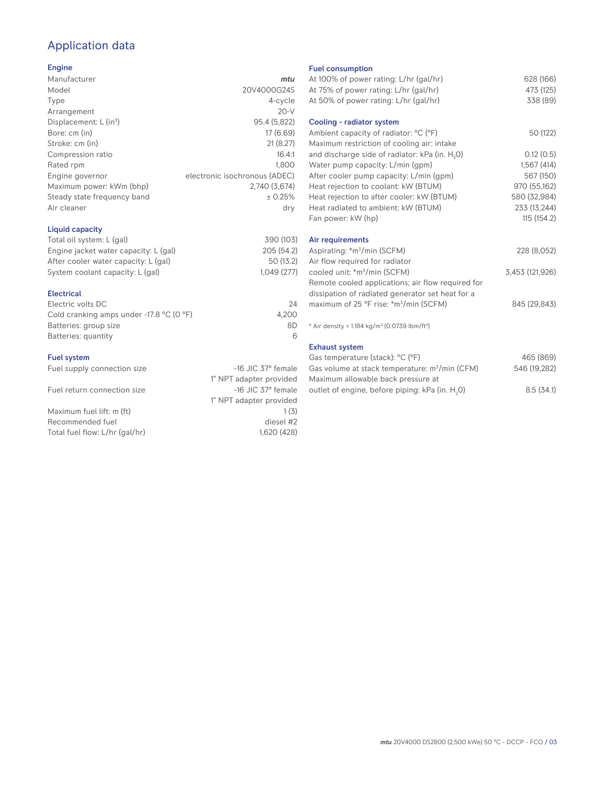# Application data

## Engine

| Manufacturer                         | mtu                           |
|--------------------------------------|-------------------------------|
| Model                                | 20V4000G24S                   |
| Type                                 | 4-cycle                       |
| Arrangement                          | $20-V$                        |
| Displacement: $L$ (in <sup>3</sup> ) | 95.4 (5,822)                  |
| Bore: cm (in)                        | 17 (6.69)                     |
| Stroke: cm (in)                      | 21(8.27)                      |
| Compression ratio                    | 16.4:1                        |
| Rated rpm                            | 1.800                         |
| Engine governor                      | electronic isochronous (ADEC) |
| Maximum power: kWm (bhp)             | 2.740 (3.674)                 |
| Steady state frequency band          | ± 0.25%                       |
| Air cleaner                          | dry                           |
|                                      |                               |

## Liquid capacity

| Total oil system: L (gal)             | 390 (103)  |
|---------------------------------------|------------|
| Engine jacket water capacity: L (gal) | 205 (54.2) |
| After cooler water capacity: L (gal)  | 50 (13.2)  |
| System coolant capacity: L (gal)      | 1.049(277) |
|                                       |            |

## Electrical

| Electric volts DC                                            | 24    |
|--------------------------------------------------------------|-------|
| Cold cranking amps under -17.8 $^{\circ}$ C (O $^{\circ}$ F) | 4.200 |
| Batteries: group size                                        | 8D    |
| Batteries: quantity                                          | 6     |

## Fuel system

| Fuel supply connection size    | $-16$ JIC 37 $\degree$ female |
|--------------------------------|-------------------------------|
|                                | 1" NPT adapter provided       |
| Fuel return connection size    | $-16$ JIC 37 $\degree$ female |
|                                | 1" NPT adapter provided       |
| Maximum fuel lift: m (ft)      | 1(3)                          |
| Recommended fuel               | diesel #2                     |
| Total fuel flow: L/hr (gal/hr) | 1.620 (428)                   |
|                                |                               |

#### Fuel consumption

| At 100% of power rating: L/hr (gal/hr)                                | 628 (166)       |
|-----------------------------------------------------------------------|-----------------|
| At 75% of power rating: L/hr (gal/hr)                                 | 473 (125)       |
| At 50% of power rating: L/hr (gal/hr)                                 | 338 (89)        |
| Cooling - radiator system                                             |                 |
| Ambient capacity of radiator: °C (°F)                                 | 50 (122)        |
| Maximum restriction of cooling air: intake                            |                 |
| and discharge side of radiator: kPa (in. H <sub>2</sub> O)            | 0.12(0.5)       |
| Water pump capacity: L/min (gpm)                                      | 1,567(414)      |
| After cooler pump capacity: L/min (gpm)                               | 567 (150)       |
| Heat rejection to coolant: kW (BTUM)                                  | 970 (55,162)    |
| Heat rejection to after cooler: kW (BTUM)                             | 580 (32,984)    |
| Heat radiated to ambient: kW (BTUM)                                   | 233 (13,244)    |
| Fan power: kW (hp)                                                    | 115 (154.2)     |
| Air requirements                                                      |                 |
| Aspirating: *m <sup>3</sup> /min (SCFM)                               | 228 (8,052)     |
| Air flow required for radiator                                        |                 |
| cooled unit: *m <sup>3</sup> /min (SCFM)                              | 3,453 (121,926) |
| Remote cooled applications; air flow required for                     |                 |
| dissipation of radiated generator set heat for a                      |                 |
| maximum of 25 °F rise: *m <sup>3</sup> /min (SCFM)                    | 845 (29,843)    |
| * Air density = 1.184 kg/m <sup>3</sup> (0.0739 lbm/ft <sup>3</sup> ) |                 |
| <b>Exhaust system</b>                                                 |                 |
| Gas temperature (stack): °C (°F)                                      | 465 (869)       |
| Gas volume at stack temperature: m <sup>3</sup> /min (CFM)            | 546 (19,282)    |
|                                                                       |                 |

| Maximum allowable back pressure at                          |           |
|-------------------------------------------------------------|-----------|
| outlet of engine, before piping: kPa (in. H <sub>2</sub> 0) | 8.5(34.1) |